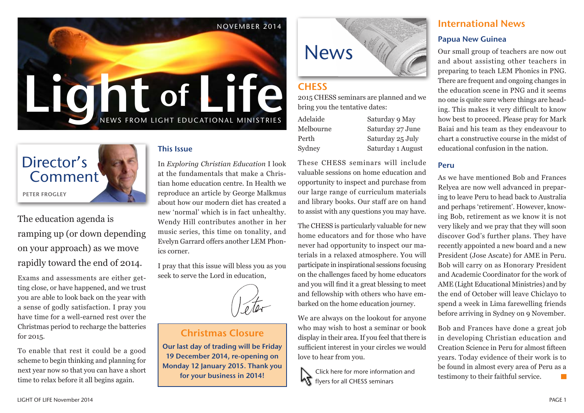



The education agenda is ramping up (or down depending on your approach) as we move rapidly toward the end of 2014.

Exams and assessments are either getting close, or have happened, and we trust you are able to look back on the year with a sense of godly satisfaction. I pray you have time for a well-earned rest over the Christmas period to recharge the batteries for 2015.

To enable that rest it could be a good scheme to begin thinking and planning for next year now so that you can have a short time to relax before it all begins again.

#### This Issue

In *Exploring Christian Education* I look at the fundamentals that make a Christian home education centre. In Health we reproduce an article by George Malkmus about how our modern diet has created a new 'normal' which is in fact unhealthy. Wendy Hill contributes another in her music series, this time on tonality, and Evelyn Garrard offers another LEM Phonics corner.

I pray that this issue will bless you as you seek to serve the Lord in education,



### Christmas Closure

Our last day of trading will be Friday 19 December 2014, re-opening on Monday 12 January 2015. Thank you for your business in 2014!



### **CHESS**

2015 CHESS seminars are planned and we bring you the tentative dates:

| Adelaide  | Saturday 9 May    |
|-----------|-------------------|
| Melbourne | Saturday 27 June  |
| Perth     | Saturday 25 July  |
| Sydney    | Saturday 1 August |
|           |                   |

These CHESS seminars will include valuable sessions on home education and opportunity to inspect and purchase from our large range of curriculum materials and library books. Our staff are on hand to assist with any questions you may have.

The CHESS is particularly valuable for new home educators and for those who have never had opportunity to inspect our materials in a relaxed atmosphere. You will participate in inspirational sessions focusing on the challenges faced by home educators and you will find it a great blessing to meet and fellowship with others who have embarked on the home education journey.

We are always on the lookout for anyone who may wish to host a seminar or book display in their area. If you feel that there is sufficient interest in your circles we would love to hear from you.



Click here for more information and **KT** flyers for all CHESS seminars

# International News Papua New Guinea

Our small group of teachers are now out and about assisting other teachers in preparing to teach LEM Phonics in PNG. There are frequent and ongoing changes in the education scene in PNG and it seems no one is quite sure where things are heading. This makes it very difficult to know how best to proceed. Please pray for Mark Baiai and his team as they endeavour to chart a constructive course in the midst of educational confusion in the nation.

#### Peru

August

As we have mentioned Bob and Frances Relyea are now well advanced in preparing to leave Peru to head back to Australia and perhaps 'retirement'. However, knowing Bob, retirement as we know it is not very likely and we pray that they will soon discover God's further plans. They have recently appointed a new board and a new President (Jose Ascate) for AME in Peru. Bob will carry on as Honorary President and Academic Coordinator for the work of AME (Light Educational Ministries) and by the end of October will leave Chiclayo to spend a week in Lima farewelling friends before arriving in Sydney on 9 November.

Bob and Frances have done a great job in developing Christian education and Creation Science in Peru for almost fifteen years. Today evidence of their work is to be found in almost every area of Peru as a testimony to their faithful service.  $\Box$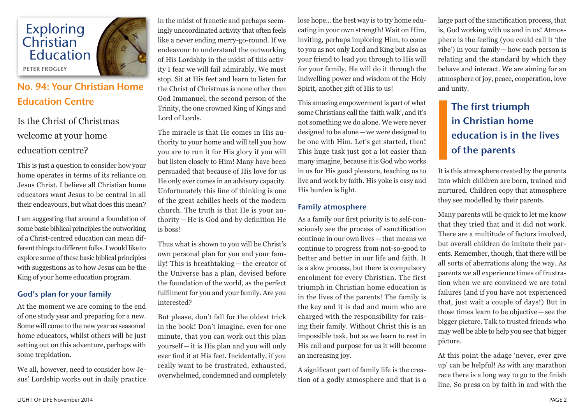

# No. 94: Your Christian Home Education Centre

# Is the Christ of Christmas welcome at your home

### education centre?

This is just a question to consider how your home operates in terms of its reliance on Jesus Christ. I believe all Christian home educators want Jesus to be central in all their endeavours, but what does this mean?

I am suggesting that around a foundation of some basic biblical principles the outworking of a Christ-centred education can mean different things to different folks. I would like to explore some of these basic biblical principles with suggestions as to how Jesus can be the King of your home education program.

#### God's plan for your family

At the moment we are coming to the end of one study year and preparing for a new. Some will come to the new year as seasoned home educators, whilst others will be just setting out on this adventure, perhaps with some trepidation.

We all, however, need to consider how Jesus' Lordship works out in daily practice in the midst of frenetic and perhaps seemingly uncoordinated activity that often feels like a never ending merry-go-round. If we endeavour to understand the outworking of His Lordship in the midst of this activity I fear we will fail admirably. We must stop. Sit at His feet and learn to listen for the Christ of Christmas is none other than God Immanuel, the second person of the Trinity, the one crowned King of Kings and Lord of Lords.

The miracle is that He comes in His authority to your home and will tell you how you are to run it for His glory if you will but listen closely to Him! Many have been persuaded that because of His love for us He only ever comes in an advisory capacity. Unfortunately this line of thinking is one of the great achilles heels of the modern church. The truth is that He is your authority — He is God and by definition He is boss!

Thus what is shown to you will be Christ's own personal plan for you and your family! This is breathtaking — the creator of the Universe has a plan, devised before the foundation of the world, as the perfect fulfilment for you and your family. Are you interested?

But please, don't fall for the oldest trick in the book! Don't imagine, even for one minute, that you can work out this plan yourself —it is His plan and you will only ever find it at His feet. Incidentally, if you really want to be frustrated, exhausted, overwhelmed, condemned and completely

lose hope... the best way is to try home educating in your own strength! Wait on Him, inviting, perhaps imploring Him, to come to you as not only Lord and King but also as your friend to lead you through to His will for your family. He will do it through the indwelling power and wisdom of the Holy Spirit, another gift of His to us!

This amazing empowerment is part of what some Christians call the 'faith walk', and it's not something we do alone. We were never designed to be alone—we were designed to be one with Him. Let's get started, then! This huge task just got a lot easier than many imagine, because it is God who works in us for His good pleasure, teaching us to live and work by faith. His yoke is easy and His burden is light.

#### Family atmosphere

As a family our first priority is to self-consciously see the process of sanctification continue in our own lives—that means we continue to progress from not-so-good to better and better in our life and faith. It is a slow process, but there is compulsory enrolment for every Christian. The first triumph in Christian home education is in the lives of the parents! The family is the key and it is dad and mum who are charged with the responsibility for raising their family. Without Christ this is an impossible task, but as we learn to rest in His call and purpose for us it will become an increasing joy.

A significant part of family life is the creation of a godly atmosphere and that is a large part of the sanctification process, that is, God working with us and in us! Atmosphere is the feeling (you could call it 'the vibe') in your family—how each person is relating and the standard by which they behave and interact. We are aiming for an atmosphere of joy, peace, cooperation, love and unity.

# The first triumph in Christian home education is in the lives of the parents

It is this atmosphere created by the parents into which children are born, trained and nurtured. Children copy that atmosphere they see modelled by their parents.

Many parents will be quick to let me know that they tried that and it did not work. There are a multitude of factors involved, but overall children do imitate their parents. Remember, though, that there will be all sorts of aberrations along the way. As parents we all experience times of frustration when we are convinced we are total failures (and if you have not experienced that, just wait a couple of days!) But in those times learn to be objective—see the bigger picture. Talk to trusted friends who may well be able to help you see that bigger picture.

At this point the adage 'never, ever give up' can be helpful! As with any marathon race there is a long way to go to the finish line. So press on by faith in and with the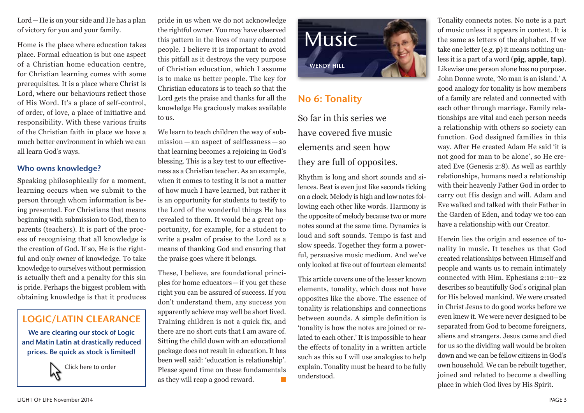Lord—He is on your side and He has a plan of victory for you and your family.

Home is the place where education takes place. Formal education is but one aspect of a Christian home education centre, for Christian learning comes with some prerequisites. It is a place where Christ is Lord, where our behaviours reflect those of His Word. It's a place of self-control, of order, of love, a place of initiative and responsibility. With these various fruits of the Christian faith in place we have a much better environment in which we can all learn God's ways.

#### Who owns knowledge?

Speaking philosophically for a moment, learning occurs when we submit to the person through whom information is being presented. For Christians that means beginning with submission to God, then to parents (teachers). It is part of the process of recognising that all knowledge is the creation of God. If so, He is the rightful and only owner of knowledge. To take knowledge to ourselves without permission is actually theft and a penalty for this sin is pride. Perhaps the biggest problem with obtaining knowledge is that it produces



We are clearing our stock of Logic and Matin Latin at drastically reduced prices. Be quick as stock is limited!



pride in us when we do not acknowledge the rightful owner. You may have observed this pattern in the lives of many educated people. I believe it is important to avoid this pitfall as it destroys the very purpose of Christian education, which I assume is to make us better people. The key for Christian educators is to teach so that the Lord gets the praise and thanks for all the knowledge He graciously makes available to us.

We learn to teach children the way of submission — an aspect of selflessness — so that learning becomes a rejoicing in God's blessing. This is a key test to our effectiveness as a Christian teacher. As an example, when it comes to testing it is not a matter of how much I have learned, but rather it is an opportunity for students to testify to the Lord of the wonderful things He has revealed to them. It would be a great opportunity, for example, for a student to write a psalm of praise to the Lord as a means of thanking God and ensuring that the praise goes where it belongs.

These, I believe, are foundational principles for home educators—if you get these right you can be assured of success. If you don't understand them, any success you apparently achieve may well be short lived. Training children is not a quick fix, and there are no short cuts that I am aware of. Sitting the child down with an educational package does not result in education. It has been well said: 'education is relationship'. Please spend time on these fundamentals as they will reap a good reward. **Tale** 



## No 6: Tonality

So far in this series we have covered five music elements and seen how they are full of opposites.

Rhythm is long and short sounds and silences. Beat is even just like seconds ticking on a clock. Melody is high and low notes following each other like words. Harmony is the opposite of melody because two or more notes sound at the same time. Dynamics is loud and soft sounds. Tempo is fast and slow speeds. Together they form a powerful, persuasive music medium. And we've only looked at five out of fourteen elements!

This article covers one of the lesser known elements, tonality, which does not have opposites like the above. The essence of tonality is relationships and connections between sounds. A simple definition is 'tonality is how the notes are joined or related to each other.' It is impossible to hear the effects of tonality in a written article such as this so I will use analogies to help explain. Tonality must be heard to be fully understood.

Tonality connects notes. No note is a part of music unless it appears in context. It is the same as letters of the alphabet. If we take one letter (e.g. **p**) it means nothing unless it is a part of a word (**pig**, **apple**, **tap**). Likewise one person alone has no purpose. John Donne wrote, 'No man is an island.' A good analogy for tonality is how members of a family are related and connected with each other through marriage. Family relationships are vital and each person needs a relationship with others so society can function. God designed families in this way. After He created Adam He said 'it is not good for man to be alone', so He created Eve (Genesis 2:8). As well as earthly relationships, humans need a relationship with their heavenly Father God in order to carry out His design and will. Adam and Eve walked and talked with their Father in the Garden of Eden, and today we too can have a relationship with our Creator.

Herein lies the origin and essence of tonality in music. It teaches us that God created relationships between Himself and people and wants us to remain intimately connected with Him. Ephesians 2:10–22 describes so beautifully God's original plan for His beloved mankind. We were created in Christ Jesus to do good works before we even knew it. We were never designed to be separated from God to become foreigners, aliens and strangers. Jesus came and died for us so the dividing wall would be broken down and we can be fellow citizens in God's own household. We can be rebuilt together, joined and related to become a dwelling place in which God lives by His Spirit.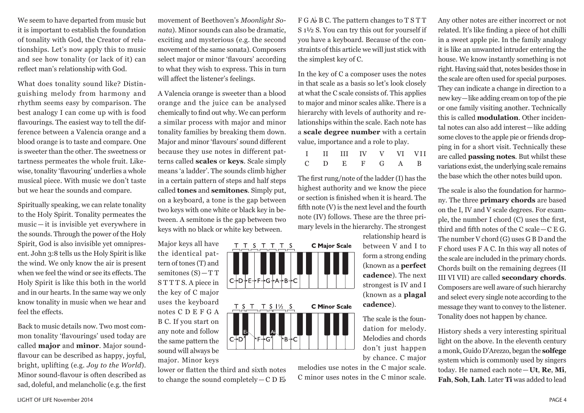We seem to have departed from music but it is important to establish the foundation of tonality with God, the Creator of relationships. Let's now apply this to music and see how tonality (or lack of it) can reflect man's relationship with God.

What does tonality sound like? Distinguishing melody from harmony and rhythm seems easy by comparison. The best analogy I can come up with is food flavourings. The easiest way to tell the difference between a Valencia orange and a blood orange is to taste and compare. One is sweeter than the other. The sweetness or tartness permeates the whole fruit. Likewise, tonality 'flavouring' underlies a whole musical piece. With music we don't taste but we hear the sounds and compare.

Spiritually speaking, we can relate tonality to the Holy Spirit. Tonality permeates the music — it is invisible yet everywhere in the sounds. Through the power of the Holy Spirit, God is also invisible yet omnipresent. John 3:8 tells us the Holy Spirit is like the wind. We only know the air is present when we feel the wind or see its effects. The Holy Spirit is like this both in the world and in our hearts. In the same way we only know tonality in music when we hear and feel the effects.

Back to music details now. Two most common tonality 'flavourings' used today are called **major** and **minor**. Major soundflavour can be described as happy, joyful, bright, uplifting (e.g. *Joy to the World*). Minor sound-flavour is often described as sad, doleful, and melancholic (e.g. the first

movement of Beethoven's *Moonlight Sonata*). Minor sounds can also be dramatic, exciting and mysterious (e.g. the second movement of the same sonata). Composers select major or minor 'flavours' according to what they wish to express. This in turn will affect the listener's feelings.

A Valencia orange is sweeter than a blood orange and the juice can be analysed chemically to find out why. We can perform a similar process with major and minor tonality families by breaking them down. Major and minor 'flavours' sound different because they use notes in different patterns called **scales** or **keys**. Scale simply means 'a ladder'. The sounds climb higher in a certain pattern of steps and half steps called **tones** and **semitones**. Simply put, on a keyboard, a tone is the gap between two keys with one white or black key in between. A semitone is the gap between two keys with no black or white key between.

T T S T T T S

 $T S T T S 1\% S$ 

∗G1

∙G+A∙ ۰B ۲C

Major keys all have the identical pattern of tones (T) and semitones (S)—T T S T T T S. A piece in the key of C major uses the keyboard notes C D E F G A B C. If you start on any note and follow the same pattern the sound will always be major. Minor keys

lower or flatten the third and sixth notes to change the sound completely  $-C D E$ 

 $C + D'$ 

 $F G A b B C$ . The pattern changes to T S T T S 1½ S. You can try this out for yourself if you have a keyboard. Because of the constraints of this article we will just stick with the simplest key of C.

In the key of C a composer uses the notes in that scale as a basis so let's look closely at what the C scale consists of. This applies to major and minor scales alike. There is a hierarchy with levels of authority and relationships within the scale. Each note has a **scale degree number** with a certain value, importance and a role to play.

|  | I II III IV V VI VII        |  |  |
|--|-----------------------------|--|--|
|  | $C$ $D$ $E$ $F$ $G$ $A$ $B$ |  |  |

The first rung/note of the ladder (I) has the highest authority and we know the piece or section is finished when it is heard. The fifth note (V) is the next level and the fourth note (IV) follows. These are the three primary levels in the hierarchy. The strongest

**C Major Scale** 

**C Minor Scale** 

relationship heard is between V and I to form a strong ending (known as a **perfect cadence**). The next strongest is IV and I (known as a **plagal cadence**).

The scale is the foundation for melody. Melodies and chords don't just happen by chance. C major

melodies use notes in the C major scale. C minor uses notes in the C minor scale. Any other notes are either incorrect or not related. It's like finding a piece of hot chilli in a sweet apple pie. In the family analogy it is like an unwanted intruder entering the house. We know instantly something is not right. Having said that, notes besides those in the scale are often used for special purposes. They can indicate a change in direction to a new key—like adding cream on top of the pie or one family visiting another. Technically this is called **modulation**. Other incidental notes can also add interest—like adding some cloves to the apple pie or friends dropping in for a short visit. Technically these are called **passing notes**. But whilst these variations exist, the underlying scale remains the base which the other notes build upon.

The scale is also the foundation for harmony. The three **primary chords** are based on the I, IV and V scale degrees. For example, the number I chord (C) uses the first, third and fifth notes of the C scale—C E G. The number V chord (G) uses G B D and the F chord uses F A C. In this way all notes of the scale are included in the primary chords. Chords built on the remaining degrees (II III VI VII) are called **secondary chords**. Composers are well aware of such hierarchy and select every single note according to the message they want to convey to the listener. Tonality does not happen by chance.

History sheds a very interesting spiritual light on the above. In the eleventh century a monk, Guido D'Arezzo, began the **solfege**  system which is commonly used by singers today. He named each note—**Ut**, **Re**, **Mi**, **Fah**, **Soh**, **Lah**. Later **Ti** was added to lead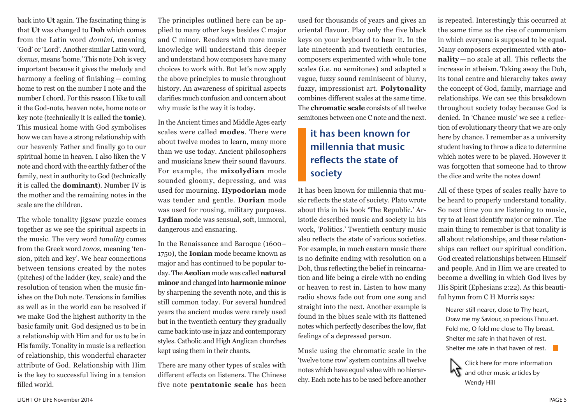back into **Ut** again. The fascinating thing is that **Ut** was changed to **Doh** which comes from the Latin word *domini*, meaning 'God' or 'Lord'. Another similar Latin word, *domus*, means 'home.' This note Doh is very important because it gives the melody and harmony a feeling of finishing — coming home to rest on the number I note and the number I chord. For this reason I like to call it the God-note, heaven note, home note or key note (technically it is called the **tonic**). This musical home with God symbolises how we can have a strong relationship with our heavenly Father and finally go to our spiritual home in heaven. I also liken the V note and chord with the earthly father of the family, next in authority to God (technically it is called the **dominant**). Number IV is the mother and the remaining notes in the scale are the children.

The whole tonality jigsaw puzzle comes together as we see the spiritual aspects in the music. The very word *tonality* comes from the Greek word *tonos*, meaning 'tension, pitch and key'. We hear connections between tensions created by the notes (pitches) of the ladder (key, scale) and the resolution of tension when the music finishes on the Doh note. Tensions in families as well as in the world can be resolved if we make God the highest authority in the basic family unit. God designed us to be in a relationship with Him and for us to be in His family. Tonality in music is a reflection of relationship, this wonderful character attribute of God. Relationship with Him is the key to successful living in a tension filled world.

The principles outlined here can be applied to many other keys besides C major and C minor. Readers with more music knowledge will understand this deeper and understand how composers have many choices to work with. But let's now apply the above principles to music throughout history. An awareness of spiritual aspects clarifies much confusion and concern about why music is the way it is today.

In the Ancient times and Middle Ages early scales were called **modes**. There were about twelve modes to learn, many more than we use today. Ancient philosophers and musicians knew their sound flavours. For example, the **mixolydian** mode sounded gloomy, depressing, and was used for mourning. **Hypodorian** mode was tender and gentle. **Dorian** mode was used for rousing, military purposes. **Lydian** mode was sensual, soft, immoral, dangerous and ensnaring.

In the Renaissance and Baroque (1600– 1750), the **Ionian** mode became known as major and has continued to be popular today. The **Aeolian** mode was called **natural minor** and changed into **harmonic minor**  by sharpening the seventh note, and this is still common today. For several hundred years the ancient modes were rarely used but in the twentieth century they gradually came back into use in jazz and contemporary styles. Catholic and High Anglican churches kept using them in their chants.

There are many other types of scales with different effects on listeners. The Chinese five note **pentatonic scale** has been

used for thousands of years and gives an oriental flavour. Play only the five black keys on your keyboard to hear it. In the late nineteenth and twentieth centuries, composers experimented with whole tone scales (i.e. no semitones) and adapted a vague, fuzzy sound reminiscent of blurry, fuzzy, impressionist art. **Polytonality** combines different scales at the same time. The **chromatic scale** consists of all twelve semitones between one C note and the next.

# it has been known for millennia that music reflects the state of society

It has been known for millennia that music reflects the state of society. Plato wrote about this in his book 'The Republic.' Aristotle described music and society in his work, 'Politics.' Twentieth century music also reflects the state of various societies. For example, in much eastern music there is no definite ending with resolution on a Doh, thus reflecting the belief in reincarnation and life being a circle with no ending or heaven to rest in. Listen to how many radio shows fade out from one song and straight into the next. Another example is found in the blues scale with its flattened notes which perfectly describes the low, flat feelings of a depressed person.

Music using the chromatic scale in the 'twelve tone row' system contains all twelve notes which have equal value with no hierarchy. Each note has to be used before another

is repeated. Interestingly this occurred at the same time as the rise of communism in which everyone is supposed to be equal. Many composers experimented with **atonality** — no scale at all. This reflects the increase in atheism. Taking away the Doh, its tonal centre and hierarchy takes away the concept of God, family, marriage and relationships. We can see this breakdown throughout society today because God is denied. In 'Chance music' we see a reflection of evolutionary theory that we are only here by chance. I remember as a university student having to throw a dice to determine which notes were to be played. However it was forgotten that someone had to throw the dice and write the notes down!

All of these types of scales really have to be heard to properly understand tonality. So next time you are listening to music, try to at least identify major or minor. The main thing to remember is that tonality is all about relationships, and these relationships can reflect our spiritual condition. God created relationships between Himself and people. And in Him we are created to become a dwelling in which God lives by His Spirit (Ephesians 2:22). As this beautiful hymn from C H Morris says:

Nearer still nearer, close to Thy heart, Draw me my Saviour, so precious Thou art. Fold me, O fold me close to Thy breast. Shelter me safe in that haven of rest. Shelter me safe in that haven of rest.  $\Box$ 

Click here for more information and other music articles by Wendy Hill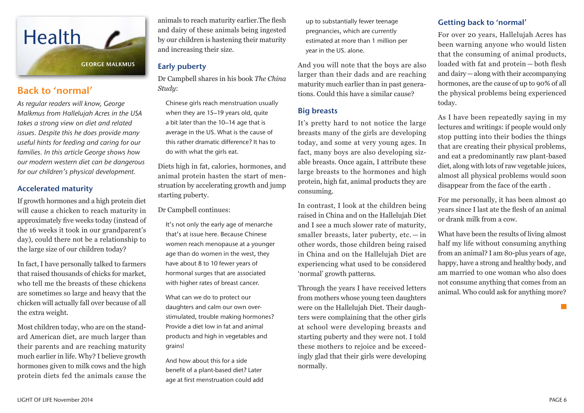

### Back to 'normal'

*As regular readers will know, George Malkmus from Hallelujah Acres in the USA takes a strong view on diet and related issues. Despite this he does provide many useful hints for feeding and caring for our families. In this article George shows how our modern western diet can be dangerous for our children's physical development.*

#### Accelerated maturity

If growth hormones and a high protein diet will cause a chicken to reach maturity in approximately five weeks today (instead of the 16 weeks it took in our grandparent's day), could there not be a relationship to the large size of our children today?

In fact, I have personally talked to farmers that raised thousands of chicks for market, who tell me the breasts of these chickens are sometimes so large and heavy that the chicken will actually fall over because of all the extra weight.

Most children today, who are on the standard American diet, are much larger than their parents and are reaching maturity much earlier in life. Why? I believe growth hormones given to milk cows and the high protein diets fed the animals cause the animals to reach maturity earlier.The flesh and dairy of these animals being ingested by our children is hastening their maturity and increasing their size.

#### Early puberty

Dr Campbell shares in his book *The China Study*:

Chinese girls reach menstruation usually when they are 15–19 years old, quite a bit later than the 10–14 age that is average in the US. What is the cause of this rather dramatic difference? It has to do with what the girls eat.

Diets high in fat, calories, hormones, and animal protein hasten the start of menstruation by accelerating growth and jump starting puberty.

Dr Campbell continues:

It's not only the early age of menarche that's at issue here. Because Chinese women reach menopause at a younger age than do women in the west, they have about 8 to 10 fewer years of hormonal surges that are associated with higher rates of breast cancer.

What can we do to protect our daughters and calm our own overstimulated, trouble making hormones? Provide a diet low in fat and animal products and high in vegetables and grains!

And how about this for a side benefit of a plant-based diet? Later age at first menstruation could add up to substantially fewer teenage pregnancies, which are currently estimated at more than 1 million per year in the US. alone.

And you will note that the boys are also larger than their dads and are reaching maturity much earlier than in past generations. Could this have a similar cause?

#### Big breasts

It's pretty hard to not notice the large breasts many of the girls are developing today, and some at very young ages. In fact, many boys are also developing sizable breasts. Once again, I attribute these large breasts to the hormones and high protein, high fat, animal products they are consuming.

In contrast, I look at the children being raised in China and on the Hallelujah Diet and I see a much slower rate of maturity, smaller breasts, later puberty, etc. — in other words, those children being raised in China and on the Hallelujah Diet are experiencing what used to be considered 'normal' growth patterns.

Through the years I have received letters from mothers whose young teen daughters were on the Hallelujah Diet. Their daughters were complaining that the other girls at school were developing breasts and starting puberty and they were not. I told these mothers to rejoice and be exceedingly glad that their girls were developing normally.

#### Getting back to 'normal'

For over 20 years, Hallelujah Acres has been warning anyone who would listen that the consuming of animal products, loaded with fat and protein — both flesh and dairy—along with their accompanying hormones, are the cause of up to 90% of all the physical problems being experienced today.

As I have been repeatedly saying in my lectures and writings: if people would only stop putting into their bodies the things that are creating their physical problems, and eat a predominantly raw plant-based diet, along with lots of raw vegetable juices, almost all physical problems would soon disappear from the face of the earth .

For me personally, it has been almost 40 years since I last ate the flesh of an animal or drank milk from a cow.

What have been the results of living almost half my life without consuming anything from an animal? I am 80-plus years of age, happy, have a strong and healthy body, and am married to one woman who also does not consume anything that comes from an animal. Who could ask for anything more?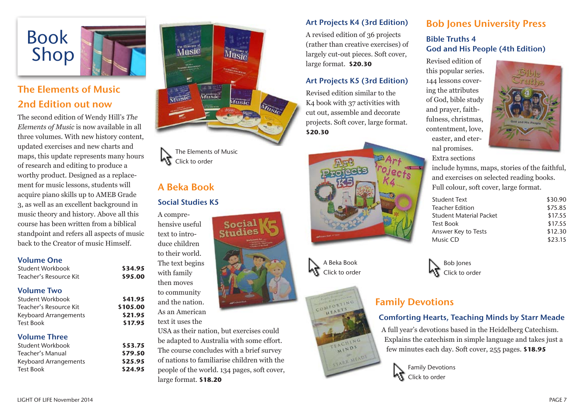

# The Elements of Music 2nd Edition out now

The second edition of Wendy Hill's *The Elements of Music* is now available in all three volumes. With new history content, updated exercises and new charts and maps, this update represents many hours of research and editing to produce a worthy product. Designed as a replacement for music lessons, students will acquire piano skills up to AMEB Grade 3, as well as an excellent background in music theory and history. Above all this course has been written from a biblical standpoint and refers all aspects of music back to the Creator of music Himself.

#### Volume One

Student Workbook **\$34.95** Teacher's Resource Kit **\$95.00**

#### Volume Two

Student Workbook **\$41.95** Teacher's Resource Kit **\$105.00** Keyboard Arrangements **\$21.95** Test Book **\$17.95**

#### Volume Three

| Student Workbook      |
|-----------------------|
| Teacher's Manual      |
| Keyboard Arrangements |
| <b>Test Book</b>      |
|                       |



Socia

The Elements of Music Click to order

## A Beka Book

#### Social Studies K5

A comprehensive useful text to introduce children to their world. The text begins with family then moves to community and the nation. As an American text it uses the

Student Workbook **\$53.75** Teacher's Manual **\$79.50** Keyboard Arrangements **\$25.95** Test Book **\$24.95**

USA as their nation, but exercises could be adapted to Australia with some effort. The course concludes with a brief survey of nations to familiarise children with the people of the world. 134 pages, soft cover, large format. **\$18.20**

#### Art Projects K4 (3rd Edition)

A revised edition of 36 projects (rather than creative exercises) of largely cut-out pieces. Soft cover, large format. **\$20.30**

#### Art Projects K5 (3rd Edition)

Revised edition similar to the K4 book with 37 activities with cut out, assemble and decorate projects. Soft cover, large format. **\$20.30**



A Beka Book Click to order



Bob Jones University Press

### Bible Truths 4 God and His People (4th Edition)

Revised edition of this popular series. 144 lessons covering the attributes of God, bible study and prayer, faithfulness, christmas, contentment, love, easter, and eternal promises. Extra sections



include hymns, maps, stories of the faithful, and exercises on selected reading books. Full colour, soft cover, large format.

| Student Text            | \$30.90 |
|-------------------------|---------|
| Teacher Edition         | \$75.85 |
| Student Material Packet | \$17.55 |
| <b>Test Book</b>        | \$17.55 |
| Answer Key to Tests     | \$12.30 |
| Music CD                | \$23.15 |
|                         |         |

Bob Jones Click to order

# Family Devotions

#### Comforting Hearts, Teaching Minds by Starr Meade

A full year's devotions based in the Heidelberg Catechism. Explains the catechism in simple language and takes just a few minutes each day. Soft cover, 255 pages. **\$18.95**

> Family Devotions Click to order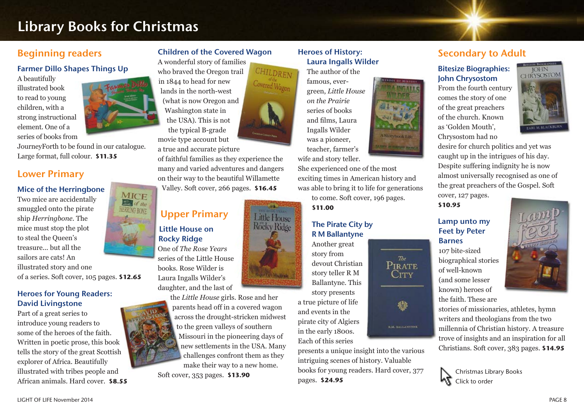# Library Books for Christmas

### Beginning readers

#### Farmer Dillo Shapes Things Up

A beautifully illustrated book to read to young children, with a strong instructional element. One of a series of books from

JourneyForth to be found in our catalogue. Large format, full colour. **\$11.35**

### Lower Primary

#### Mice of the Herringbone

**MICE** Two mice are accidentally of the smuggled onto the pirate HERRING BONE ship *Herringbone*. The mice must stop the plot to steal the Queen's treasure... but all the sailors are cats! An illustrated story and one of a series. Soft cover, 105 pages. **\$12.65**

#### Heroes for Young Readers: David Livingstone

Part of a great series to introduce young readers to some of the heroes of the faith. Written in poetic prose, this book tells the story of the great Scottish explorer of Africa. Beautifully illustrated with tribes people and African animals. Hard cover. **\$8.55**

A wonderful story of families who braved the Oregon trail in 1844 to head for new lands in the north-west

(what is now Oregon and Washington state in the USA). This is not the typical B-grade movie type account but

Children of the Covered Wagon

CHILDREN

**Little House** Rőcky Ridge

a true and accurate picture

of faithful families as they experience the many and varied adventures and dangers on their way to the beautiful Willamette Valley. Soft cover, 266 pages. **\$16.45**

# Upper Primary Little House on

Rocky Ridge One of *The Rose Years* series of the Little House books. Rose Wilder is Laura Ingalls Wilder's daughter, and the last of

> the *Little House* girls. Rose and her parents head off in a covered wagon across the drought-stricken midwest to the green valleys of southern Missouri in the pioneering days of new settlements in the USA. Many challenges confront them as they make their way to a new home.

Soft cover, 353 pages. **\$13.90**

#### Heroes of History: Laura Ingalls Wilder

The author of the

famous, evergreen, *Little House on the Prairie* series of books and films, Laura Ingalls Wilder was a pioneer, teacher, farmer's wife and story teller.

She experienced one of the most exciting times in American history and was able to bring it to life for generations

A Storybook Life **OFFICE AND REAL PROPERTY** 

> $The$ PIRATE  $C$ ity

> > 辙

**KAL BALLANTYNE** 

to come. Soft cover, 196 pages. **\$11.00**

#### The Pirate City by R M Ballantyne

Another great story from devout Christian story teller R M Ballantyne. This story presents a true picture of life and events in the pirate city of Algiers in the early 1800s. Each of this series

presents a unique insight into the various intriguing scenes of history. Valuable books for young readers. Hard cover, 377 pages. **\$24.95**

## Secondary to Adult

#### Bitesize Biographies: John Chrysostom

From the fourth century comes the story of one of the great preachers of the church. Known as 'Golden Mouth', Chrysostom had no



desire for church politics and yet was caught up in the intrigues of his day. Despite suffering indignity he is now almost universally recognised as one of the great preachers of the Gospel. Soft

cover, 127 pages. **\$10.95**

#### Lamp unto my Feet by Peter Barnes

107 bite-sized biographical stories of well-known (and some lesser known) heroes of the faith. These are



stories of missionaries, athletes, hymn writers and theologians from the two millennia of Christian history. A treasure trove of insights and an inspiration for all Christians. Soft cover, 383 pages. **\$14.95**